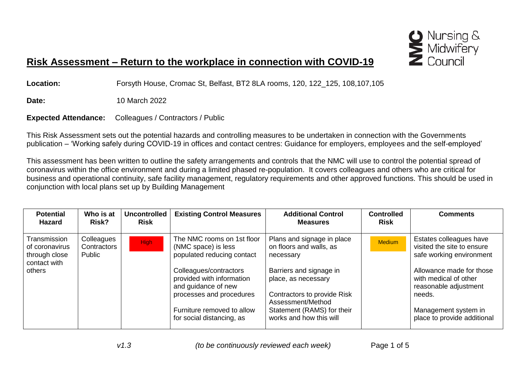

## **Risk Assessment – Return to the workplace in connection with COVID-19**

**Location:** Forsyth House, Cromac St, Belfast, BT2 8LA rooms, 120, 122\_125, 108,107,105

**Date:** 10 March 2022

**Expected Attendance:** Colleagues / Contractors / Public

This Risk Assessment sets out the potential hazards and controlling measures to be undertaken in connection with the Governments publication – 'Working safely during COVID-19 in offices and contact centres: Guidance for employers, employees and the self-employed'

This assessment has been written to outline the safety arrangements and controls that the NMC will use to control the potential spread of coronavirus within the office environment and during a limited phased re-population. It covers colleagues and others who are critical for business and operational continuity, safe facility management, regulatory requirements and other approved functions. This should be used in conjunction with local plans set up by Building Management

| <b>Potential</b><br><b>Hazard</b>                               | Who is at<br>Risk?                  | <b>Uncontrolled</b><br><b>Risk</b> | <b>Existing Control Measures</b>                                                                       | <b>Additional Control</b><br><b>Measures</b>                                                       | <b>Controlled</b><br><b>Risk</b> | <b>Comments</b>                                                                      |
|-----------------------------------------------------------------|-------------------------------------|------------------------------------|--------------------------------------------------------------------------------------------------------|----------------------------------------------------------------------------------------------------|----------------------------------|--------------------------------------------------------------------------------------|
| Transmission<br>of coronavirus<br>through close<br>contact with | Colleagues<br>Contractors<br>Public | High:                              | The NMC rooms on 1st floor<br>(NMC space) is less<br>populated reducing contact                        | Plans and signage in place<br>on floors and walls, as<br>necessary                                 | <b>Medium</b>                    | Estates colleagues have<br>visited the site to ensure<br>safe working environment    |
| others                                                          |                                     |                                    | Colleagues/contractors<br>provided with information<br>and guidance of new<br>processes and procedures | Barriers and signage in<br>place, as necessary<br>Contractors to provide Risk<br>Assessment/Method |                                  | Allowance made for those<br>with medical of other<br>reasonable adjustment<br>needs. |
|                                                                 |                                     |                                    | Furniture removed to allow<br>for social distancing, as                                                | Statement (RAMS) for their<br>works and how this will                                              |                                  | Management system in<br>place to provide additional                                  |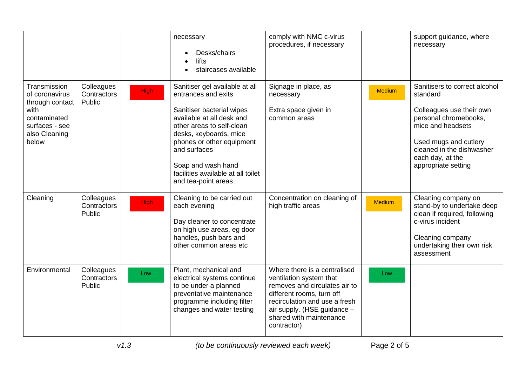|                                                                                                                       |                                     |             | necessary<br>Desks/chairs<br>lifts<br>staircases available                                                                                                                                                                                                                                             | comply with NMC c-virus<br>procedures, if necessary                                                                                                                                                                             |               | support guidance, where<br>necessary                                                                                                                                                                                 |
|-----------------------------------------------------------------------------------------------------------------------|-------------------------------------|-------------|--------------------------------------------------------------------------------------------------------------------------------------------------------------------------------------------------------------------------------------------------------------------------------------------------------|---------------------------------------------------------------------------------------------------------------------------------------------------------------------------------------------------------------------------------|---------------|----------------------------------------------------------------------------------------------------------------------------------------------------------------------------------------------------------------------|
| Transmission<br>of coronavirus<br>through contact<br>with<br>contaminated<br>surfaces - see<br>also Cleaning<br>below | Colleagues<br>Contractors<br>Public | <b>High</b> | Sanitiser gel available at all<br>entrances and exits<br>Sanitiser bacterial wipes<br>available at all desk and<br>other areas to self-clean<br>desks, keyboards, mice<br>phones or other equipment<br>and surfaces<br>Soap and wash hand<br>facilities available at all toilet<br>and tea-point areas | Signage in place, as<br>necessary<br>Extra space given in<br>common areas                                                                                                                                                       | <b>Medium</b> | Sanitisers to correct alcohol<br>standard<br>Colleagues use their own<br>personal chromebooks,<br>mice and headsets<br>Used mugs and cutlery<br>cleaned in the dishwasher<br>each day, at the<br>appropriate setting |
| Cleaning                                                                                                              | Colleagues<br>Contractors<br>Public | <b>High</b> | Cleaning to be carried out<br>each evening<br>Day cleaner to concentrate<br>on high use areas, eg door<br>handles, push bars and<br>other common areas etc                                                                                                                                             | Concentration on cleaning of<br>high traffic areas                                                                                                                                                                              | <b>Medium</b> | Cleaning company on<br>stand-by to undertake deep<br>clean if required, following<br>c-virus incident<br>Cleaning company<br>undertaking their own risk<br>assessment                                                |
| Environmental                                                                                                         | Colleagues<br>Contractors<br>Public | Low         | Plant, mechanical and<br>electrical systems continue<br>to be under a planned<br>preventative maintenance<br>programme including filter<br>changes and water testing                                                                                                                                   | Where there is a centralised<br>ventilation system that<br>removes and circulates air to<br>different rooms, turn off<br>recirculation and use a fresh<br>air supply. (HSE guidance -<br>shared with maintenance<br>contractor) | Low           |                                                                                                                                                                                                                      |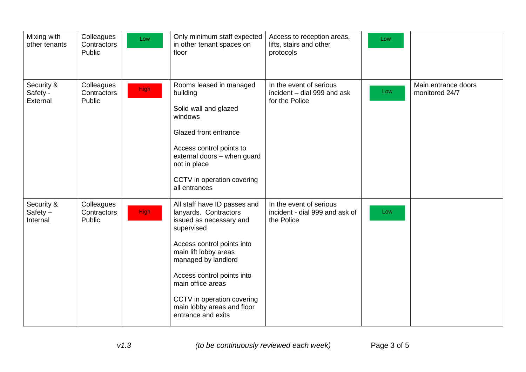| Mixing with<br>other tenants         | Colleagues<br>Contractors<br>Public | Low         | Only minimum staff expected<br>in other tenant spaces on<br>floor                                                                                                                                                                                                                                                 | Access to reception areas,<br>lifts, stairs and other<br>protocols       | Low |                                       |
|--------------------------------------|-------------------------------------|-------------|-------------------------------------------------------------------------------------------------------------------------------------------------------------------------------------------------------------------------------------------------------------------------------------------------------------------|--------------------------------------------------------------------------|-----|---------------------------------------|
| Security &<br>Safety -<br>External   | Colleagues<br>Contractors<br>Public | <b>High</b> | Rooms leased in managed<br>building<br>Solid wall and glazed<br>windows<br>Glazed front entrance<br>Access control points to<br>external doors - when guard<br>not in place<br>CCTV in operation covering<br>all entrances                                                                                        | In the event of serious<br>incident - dial 999 and ask<br>for the Police | Low | Main entrance doors<br>monitored 24/7 |
| Security &<br>$Safety -$<br>Internal | Colleagues<br>Contractors<br>Public | <b>High</b> | All staff have ID passes and<br>lanyards. Contractors<br>issued as necessary and<br>supervised<br>Access control points into<br>main lift lobby areas<br>managed by landlord<br>Access control points into<br>main office areas<br>CCTV in operation covering<br>main lobby areas and floor<br>entrance and exits | In the event of serious<br>incident - dial 999 and ask of<br>the Police  | Low |                                       |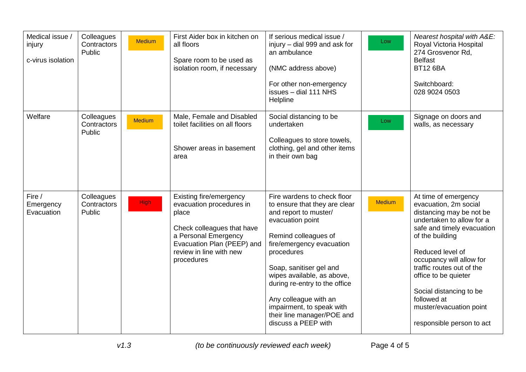| Medical issue /<br>injury<br>c-virus isolation | Colleagues<br>Contractors<br>Public | Medium        | First Aider box in kitchen on<br>all floors<br>Spare room to be used as<br>isolation room, if necessary                                                                                   | If serious medical issue /<br>injury - dial 999 and ask for<br>an ambulance<br>(NMC address above)<br>For other non-emergency<br>issues - dial 111 NHS<br>Helpline                                                                                                                                                                                                                | Low           | Nearest hospital with A&E:<br>Royal Victoria Hospital<br>274 Grosvenor Rd,<br><b>Belfast</b><br><b>BT12 6BA</b><br>Switchboard:<br>028 9024 0503                                                                                                                                                                                                               |
|------------------------------------------------|-------------------------------------|---------------|-------------------------------------------------------------------------------------------------------------------------------------------------------------------------------------------|-----------------------------------------------------------------------------------------------------------------------------------------------------------------------------------------------------------------------------------------------------------------------------------------------------------------------------------------------------------------------------------|---------------|----------------------------------------------------------------------------------------------------------------------------------------------------------------------------------------------------------------------------------------------------------------------------------------------------------------------------------------------------------------|
| Welfare                                        | Colleagues<br>Contractors<br>Public | <b>Medium</b> | Male, Female and Disabled<br>toilet facilities on all floors<br>Shower areas in basement<br>area                                                                                          | Social distancing to be<br>undertaken<br>Colleagues to store towels,<br>clothing, gel and other items<br>in their own bag                                                                                                                                                                                                                                                         | Low           | Signage on doors and<br>walls, as necessary                                                                                                                                                                                                                                                                                                                    |
| Fire /<br>Emergency<br>Evacuation              | Colleagues<br>Contractors<br>Public | <b>High</b>   | Existing fire/emergency<br>evacuation procedures in<br>place<br>Check colleagues that have<br>a Personal Emergency<br>Evacuation Plan (PEEP) and<br>review in line with new<br>procedures | Fire wardens to check floor<br>to ensure that they are clear<br>and report to muster/<br>evacuation point<br>Remind colleagues of<br>fire/emergency evacuation<br>procedures<br>Soap, sanitiser gel and<br>wipes available, as above,<br>during re-entry to the office<br>Any colleague with an<br>impairment, to speak with<br>their line manager/POE and<br>discuss a PEEP with | <b>Medium</b> | At time of emergency<br>evacuation, 2m social<br>distancing may be not be<br>undertaken to allow for a<br>safe and timely evacuation<br>of the building<br>Reduced level of<br>occupancy will allow for<br>traffic routes out of the<br>office to be quieter<br>Social distancing to be<br>followed at<br>muster/evacuation point<br>responsible person to act |